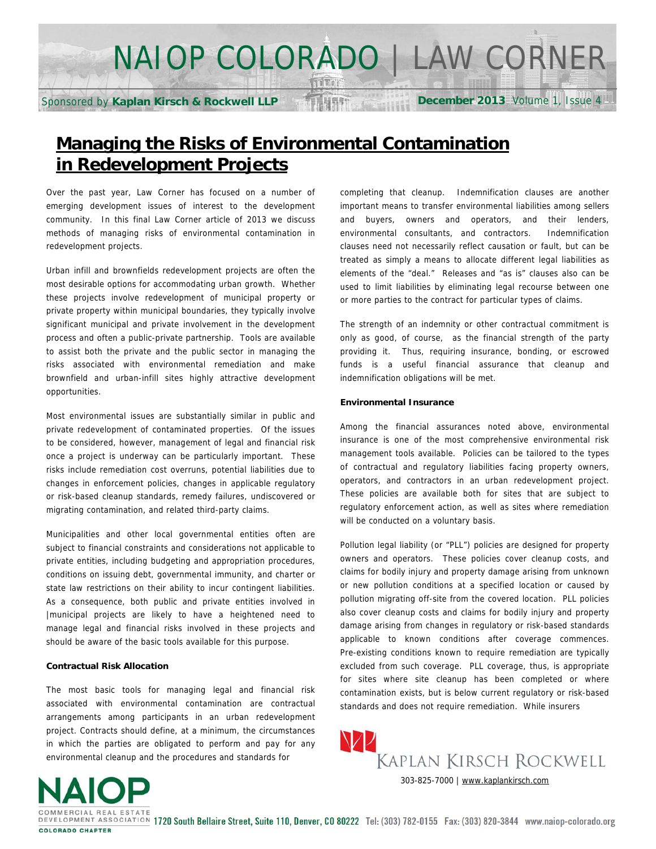# NAIOP COLORADO | LAW CORNER

**ARST** 

Sponsored by **Kaplan Kirsch & Rockwell LLP**

**December 2013** Volume 1, Issue 4

# **Managing the Risks of Environmental Contamination in Redevelopment Projects**

Over the past year, Law Corner has focused on a number of emerging development issues of interest to the development community. In this final Law Corner article of 2013 we discuss methods of managing risks of environmental contamination in redevelopment projects.

Urban infill and brownfields redevelopment projects are often the most desirable options for accommodating urban growth. Whether these projects involve redevelopment of municipal property or private property within municipal boundaries, they typically involve significant municipal and private involvement in the development process and often a public-private partnership. Tools are available to assist both the private and the public sector in managing the risks associated with environmental remediation and make brownfield and urban-infill sites highly attractive development opportunities.

Most environmental issues are substantially similar in public and private redevelopment of contaminated properties. Of the issues to be considered, however, management of legal and financial risk once a project is underway can be particularly important. These risks include remediation cost overruns, potential liabilities due to changes in enforcement policies, changes in applicable regulatory or risk-based cleanup standards, remedy failures, undiscovered or migrating contamination, and related third-party claims.

Municipalities and other local governmental entities often are subject to financial constraints and considerations not applicable to private entities, including budgeting and appropriation procedures, conditions on issuing debt, governmental immunity, and charter or state law restrictions on their ability to incur contingent liabilities. As a consequence, both public and private entities involved in |municipal projects are likely to have a heightened need to manage legal and financial risks involved in these projects and should be aware of the basic tools available for this purpose.

# **Contractual Risk Allocation**

The most basic tools for managing legal and financial risk associated with environmental contamination are contractual arrangements among participants in an urban redevelopment project. Contracts should define, at a minimum, the circumstances in which the parties are obligated to perform and pay for any environmental cleanup and the procedures and standards for

completing that cleanup. Indemnification clauses are another important means to transfer environmental liabilities among sellers and buyers, owners and operators, and their lenders, environmental consultants, and contractors. Indemnification clauses need not necessarily reflect causation or fault, but can be treated as simply a means to allocate different legal liabilities as elements of the "deal." Releases and "as is" clauses also can be used to limit liabilities by eliminating legal recourse between one or more parties to the contract for particular types of claims.

The strength of an indemnity or other contractual commitment is only as good, of course, as the financial strength of the party providing it. Thus, requiring insurance, bonding, or escrowed funds is a useful financial assurance that cleanup and indemnification obligations will be met.

# **Environmental Insurance**

Among the financial assurances noted above, environmental insurance is one of the most comprehensive environmental risk management tools available. Policies can be tailored to the types of contractual and regulatory liabilities facing property owners, operators, and contractors in an urban redevelopment project. These policies are available both for sites that are subject to regulatory enforcement action, as well as sites where remediation will be conducted on a voluntary basis.

Pollution legal liability (or "PLL") policies are designed for property owners and operators. These policies cover cleanup costs, and claims for bodily injury and property damage arising from unknown or new pollution conditions at a specified location or caused by pollution migrating off-site from the covered location. PLL policies also cover cleanup costs and claims for bodily injury and property damage arising from changes in regulatory or risk-based standards applicable to known conditions after coverage commences. Pre-existing conditions known to require remediation are typically excluded from such coverage. PLL coverage, thus, is appropriate for sites where site cleanup has been completed or where contamination exists, but is below current regulatory or risk-based standards and does not require remediation. While insurers



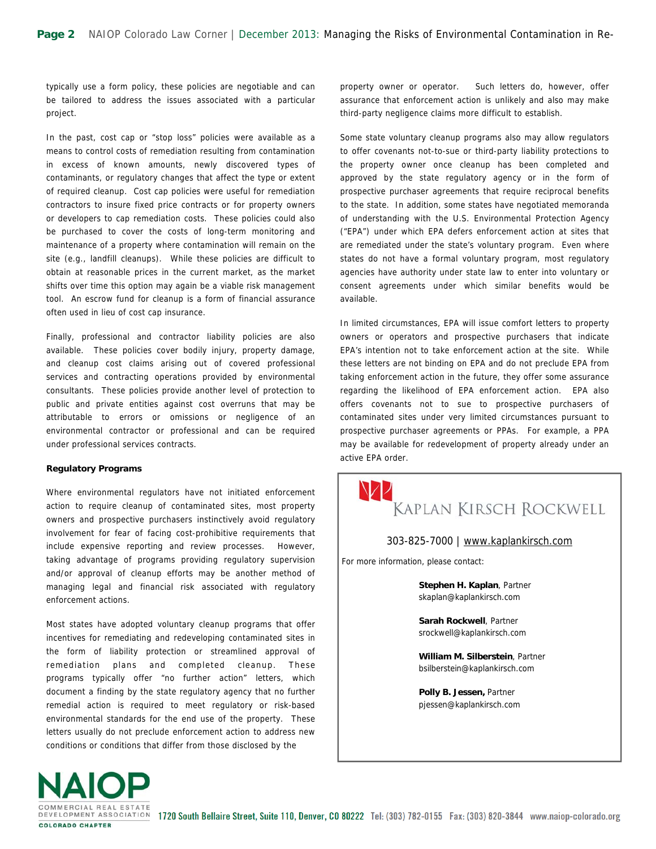typically use a form policy, these policies are negotiable and can be tailored to address the issues associated with a particular project.

In the past, cost cap or "stop loss" policies were available as a means to control costs of remediation resulting from contamination in excess of known amounts, newly discovered types of contaminants, or regulatory changes that affect the type or extent of required cleanup. Cost cap policies were useful for remediation contractors to insure fixed price contracts or for property owners or developers to cap remediation costs. These policies could also be purchased to cover the costs of long-term monitoring and maintenance of a property where contamination will remain on the site (e.g., landfill cleanups). While these policies are difficult to obtain at reasonable prices in the current market, as the market shifts over time this option may again be a viable risk management tool. An escrow fund for cleanup is a form of financial assurance often used in lieu of cost cap insurance.

Finally, professional and contractor liability policies are also available. These policies cover bodily injury, property damage, and cleanup cost claims arising out of covered professional services and contracting operations provided by environmental consultants. These policies provide another level of protection to public and private entities against cost overruns that may be attributable to errors or omissions or negligence of an environmental contractor or professional and can be required under professional services contracts.

#### **Regulatory Programs**

Where environmental regulators have not initiated enforcement action to require cleanup of contaminated sites, most property owners and prospective purchasers instinctively avoid regulatory involvement for fear of facing cost-prohibitive requirements that include expensive reporting and review processes. However, taking advantage of programs providing regulatory supervision and/or approval of cleanup efforts may be another method of managing legal and financial risk associated with regulatory enforcement actions.

Most states have adopted voluntary cleanup programs that offer incentives for remediating and redeveloping contaminated sites in the form of liability protection or streamlined approval of remediation plans and completed cleanup. These programs typically offer "no further action" letters, which document a finding by the state regulatory agency that no further remedial action is required to meet regulatory or risk-based environmental standards for the end use of the property. These letters usually do not preclude enforcement action to address new conditions or conditions that differ from those disclosed by the

property owner or operator. Such letters do, however, offer assurance that enforcement action is unlikely and also may make third-party negligence claims more difficult to establish.

Some state voluntary cleanup programs also may allow regulators to offer covenants not-to-sue or third-party liability protections to the property owner once cleanup has been completed and approved by the state regulatory agency or in the form of prospective purchaser agreements that require reciprocal benefits to the state. In addition, some states have negotiated memoranda of understanding with the U.S. Environmental Protection Agency ("EPA") under which EPA defers enforcement action at sites that are remediated under the state's voluntary program. Even where states do not have a formal voluntary program, most regulatory agencies have authority under state law to enter into voluntary or consent agreements under which similar benefits would be available.

In limited circumstances, EPA will issue comfort letters to property owners or operators and prospective purchasers that indicate EPA's intention not to take enforcement action at the site. While these letters are not binding on EPA and do not preclude EPA from taking enforcement action in the future, they offer some assurance regarding the likelihood of EPA enforcement action. EPA also offers covenants not to sue to prospective purchasers of contaminated sites under very limited circumstances pursuant to prospective purchaser agreements or PPAs. For example, a PPA may be available for redevelopment of property already under an active EPA order.



### 303-825-7000 | [www.kaplankirsch.com](http://www.kaplankirsch.com)

For more information, please contact:

**Stephen H. Kaplan**, Partner skaplan@kaplankirsch.com

**Sarah Rockwell**, Partner srockwell@kaplankirsch.com

**William M. Silberstein**, Partner bsilberstein@kaplankirsch.com

**Polly B. Jessen,** Partner pjessen@kaplankirsch.com